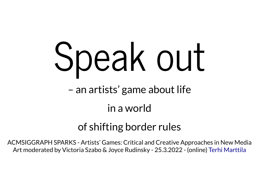# Speak out

– an artists' game about life

### in a world

## of shifting border rules

ACMSIGGRAPH SPARKS - Artists' Games: Critical and Creative Approaches in New Media Art moderated by Victoria Szabo & Joyce Rudinsky - 25.3.2022 - (online) Terhi [Marttila](http://www.terhimarttila.com/)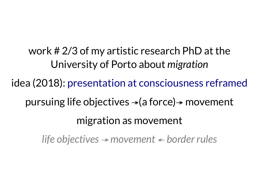work # 2/3 of my artistic research PhD at the University of Porto about *migration* idea (2018): presentation at [consciousness](https://terhimarttila.com/presentations/marttila-2019-CR.html) reframedpursuing life objectives  $\rightarrow$  (a force) $\rightarrow$  movement migration as movement *life objectives* <sup>↠</sup> *movement* ↞ *border rules*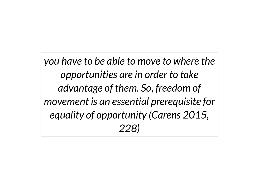*you have to be able to move to where the opportunities are in order to take advantage of them. So, freedom of movement is an essential prerequisite for equality of opportunity (Carens 2015, 228)*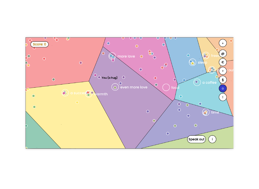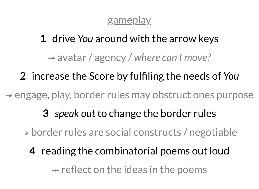#### gameplay

# **1** drive *You* around with the arrow keys

↠ avatar / agency / *where can I move?*

# **2** increase the Score by fulfiling the needs of *You*

↠ engage, play, border rules may obstruct ones purpose

- **3** *speak out* to change the border rules
- ↠ border rules are social constructs / negotiable
	- **4** reading the combinatorial poems out loud  $\rightarrow$  reflect on the ideas in the poems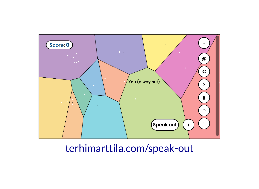

#### terhimarttila.com/speak-out